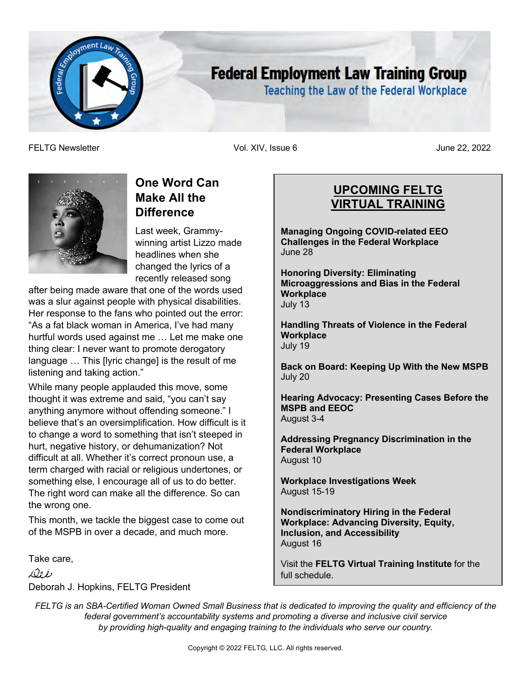

# **Federal Employment Law Training Group**

**Teaching the Law of the Federal Workplace** 

FELTG Newsletter Vol. XIV, Issue 6 June 22, 2022



# **One Word Can Make All the Difference**

Last week, Grammywinning artist Lizzo made headlines when she changed the lyrics of a recently released song

after being made aware that one of the words used was a slur against people with physical disabilities. Her response to the fans who pointed out the error: "As a fat black woman in America, I've had many hurtful words used against me … Let me make one thing clear: I never want to promote derogatory language … This [lyric change] is the result of me listening and taking action."

While many people applauded this move, some thought it was extreme and said, "you can't say anything anymore without offending someone." I believe that's an oversimplification. How difficult is it to change a word to something that isn't steeped in hurt, negative history, or dehumanization? Not difficult at all. Whether it's correct pronoun use, a term charged with racial or religious undertones, or something else, I encourage all of us to do better. The right word can make all the difference. So can the wrong one.

This month, we tackle the biggest case to come out of the MSPB in over a decade, and much more.

Take care,

Dib

Deborah J. Hopkins, FELTG President

# **UPCOMING FELTG VIRTUAL TRAINING**

**Managing Ongoing COVID-related EEO Challenges in the Federal Workplace** June 28

**Honoring Diversity: Eliminating Microaggressions and Bias in the Federal Workplace** July 13

**Handling Threats of Violence in the Federal Workplace** July 19

**Back on Board: Keeping Up With the New MSPB** July 20

**Hearing Advocacy: Presenting Cases Before the MSPB and EEOC** August 3-4

**Addressing Pregnancy Discrimination in the Federal Workplace** August 10

**Workplace Investigations Week** August 15-19

**Nondiscriminatory Hiring in the Federal Workplace: Advancing Diversity, Equity, Inclusion, and Accessibility** August 16

Visit the **FELTG Virtual Training Institute** for the full schedule.

*FELTG is an SBA-Certified Woman Owned Small Business that is dedicated to improving the quality and efficiency of the federal government's accountability systems and promoting a diverse and inclusive civil service by providing high-quality and engaging training to the individuals who serve our country.*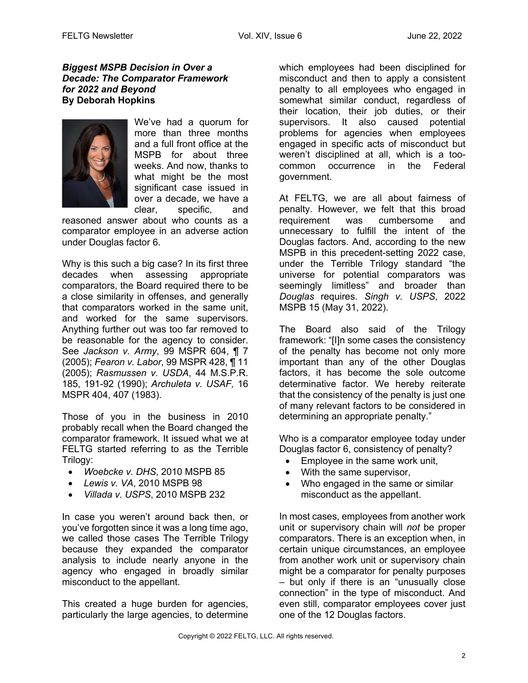#### *Biggest MSPB Decision in Over a Decade: The Comparator Framework for 2022 and Beyond* **By Deborah Hopkins**



We've had a quorum for more than three months and a full front office at the MSPB for about three weeks. And now, thanks to what might be the most significant case issued in over a decade, we have a clear, specific, and

reasoned answer about who counts as a comparator employee in an adverse action under Douglas factor 6.

Why is this such a big case? In its first three decades when assessing appropriate comparators, the Board required there to be a close similarity in offenses, and generally that comparators worked in the same unit, and worked for the same supervisors. Anything further out was too far removed to be reasonable for the agency to consider. See *Jackson v. Army*, 99 MSPR 604, ¶ 7 (2005); *Fearon v. Labor*, 99 MSPR 428, ¶ 11 (2005); *Rasmussen v. USDA*, 44 M.S.P.R. 185, 191-92 (1990); *Archuleta v. USAF,* 16 MSPR 404, 407 (1983).

Those of you in the business in 2010 probably recall when the Board changed the comparator framework. It issued what we at FELTG started referring to as the Terrible Trilogy:

- *Woebcke v. DHS*, 2010 MSPB 85
- *Lewis v. VA*, 2010 MSPB 98
- *Villada v. USPS*, 2010 MSPB 232

In case you weren't around back then, or you've forgotten since it was a long time ago, we called those cases The Terrible Trilogy because they expanded the comparator analysis to include nearly anyone in the agency who engaged in broadly similar misconduct to the appellant.

This created a huge burden for agencies, particularly the large agencies, to determine which employees had been disciplined for misconduct and then to apply a consistent penalty to all employees who engaged in somewhat similar conduct, regardless of their location, their job duties, or their supervisors. It also caused potential problems for agencies when employees engaged in specific acts of misconduct but weren't disciplined at all, which is a toocommon occurrence in the Federal government.

At FELTG, we are all about fairness of penalty. However, we felt that this broad requirement was cumbersome and unnecessary to fulfill the intent of the Douglas factors. And, according to the new MSPB in this precedent-setting 2022 case, under the Terrible Trilogy standard "the universe for potential comparators was seemingly limitless" and broader than *Douglas* requires. *Singh v. USPS*, 2022 MSPB 15 (May 31, 2022).

The Board also said of the Trilogy framework: "[I]n some cases the consistency of the penalty has become not only more important than any of the other Douglas factors, it has become the sole outcome determinative factor. We hereby reiterate that the consistency of the penalty is just one of many relevant factors to be considered in determining an appropriate penalty."

Who is a comparator employee today under Douglas factor 6, consistency of penalty?

- Employee in the same work unit,
- With the same supervisor.
- Who engaged in the same or similar misconduct as the appellant.

In most cases, employees from another work unit or supervisory chain will *not* be proper comparators. There is an exception when, in certain unique circumstances, an employee from another work unit or supervisory chain might be a comparator for penalty purposes – but only if there is an "unusually close connection" in the type of misconduct. And even still, comparator employees cover just one of the 12 Douglas factors.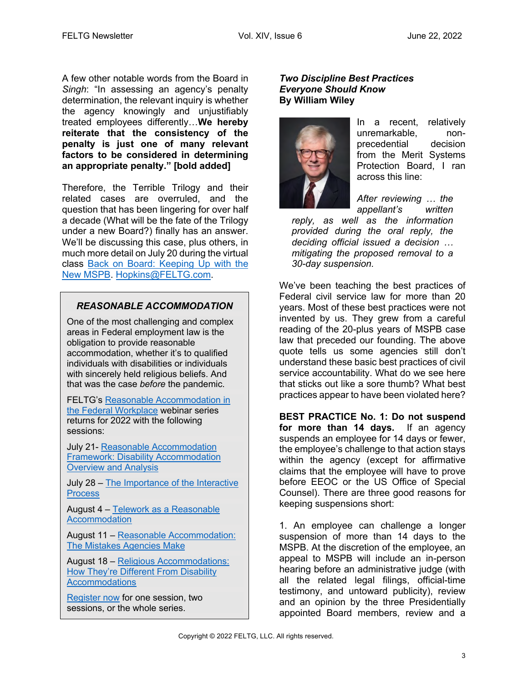A few other notable words from the Board in *Singh*: "In assessing an agency's penalty determination, the relevant inquiry is whether the agency knowingly and unjustifiably treated employees differently…**We hereby reiterate that the consistency of the penalty is just one of many relevant factors to be considered in determining an appropriate penalty." [bold added]**

Therefore, the Terrible Trilogy and their related cases are overruled, and the question that has been lingering for over half a decade (What will be the fate of the Trilogy under a new Board?) finally has an answer. We'll be discussing this case, plus others, in much more detail on July 20 during the virtual class Back on Board: Keeping Up with the New MSPB. Hopkins@FELTG.com.

# *REASONABLE ACCOMMODATION*

One of the most challenging and complex areas in Federal employment law is the obligation to provide reasonable accommodation, whether it's to qualified individuals with disabilities or individuals with sincerely held religious beliefs. And that was the case *before* the pandemic.

FELTG's Reasonable Accommodation in the Federal Workplace webinar series returns for 2022 with the following sessions:

July 21- Reasonable Accommodation Framework: Disability Accommodation Overview and Analysis

July 28 – The Importance of the Interactive **Process** 

August 4 – Telework as a Reasonable **Accommodation** 

August 11 – Reasonable Accommodation: The Mistakes Agencies Make

August 18 – Religious Accommodations: How They're Different From Disability **Accommodations** 

Register now for one session, two sessions, or the whole series.

#### *Two Discipline Best Practices Everyone Should Know* **By William Wiley**



In a recent, relatively unremarkable, nonprecedential decision from the Merit Systems Protection Board, I ran across this line:

*After reviewing … the appellant's written* 

*reply, as well as the information provided during the oral reply, the deciding official issued a decision … mitigating the proposed removal to a 30-day suspension.*

We've been teaching the best practices of Federal civil service law for more than 20 years. Most of these best practices were not invented by us. They grew from a careful reading of the 20-plus years of MSPB case law that preceded our founding. The above quote tells us some agencies still don't understand these basic best practices of civil service accountability. What do we see here that sticks out like a sore thumb? What best practices appear to have been violated here?

**BEST PRACTICE No. 1: Do not suspend for more than 14 days.** If an agency suspends an employee for 14 days or fewer, the employee's challenge to that action stays within the agency (except for affirmative claims that the employee will have to prove before EEOC or the US Office of Special Counsel). There are three good reasons for keeping suspensions short:

1. An employee can challenge a longer suspension of more than 14 days to the MSPB. At the discretion of the employee, an appeal to MSPB will include an in-person hearing before an administrative judge (with all the related legal filings, official-time testimony, and untoward publicity), review and an opinion by the three Presidentially appointed Board members, review and a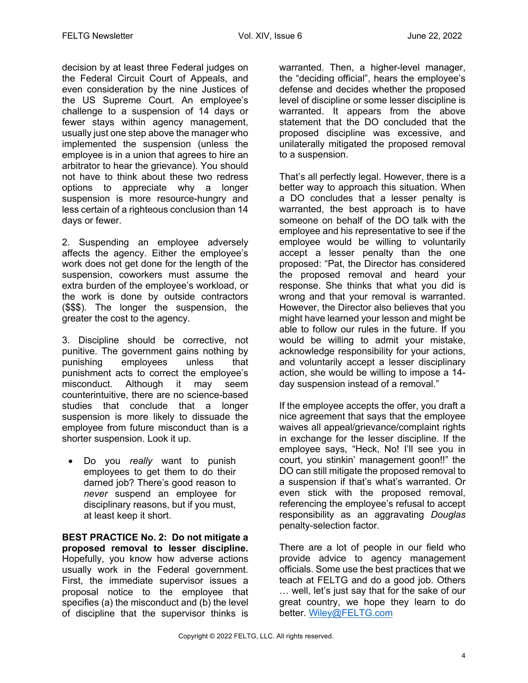decision by at least three Federal judges on the Federal Circuit Court of Appeals, and even consideration by the nine Justices of the US Supreme Court. An employee's challenge to a suspension of 14 days or fewer stays within agency management, usually just one step above the manager who implemented the suspension (unless the employee is in a union that agrees to hire an arbitrator to hear the grievance). You should not have to think about these two redress options to appreciate why a longer suspension is more resource-hungry and less certain of a righteous conclusion than 14 days or fewer.

2. Suspending an employee adversely affects the agency. Either the employee's work does not get done for the length of the suspension, coworkers must assume the extra burden of the employee's workload, or the work is done by outside contractors (\$\$\$). The longer the suspension, the greater the cost to the agency.

3. Discipline should be corrective, not punitive. The government gains nothing by punishing employees unless that punishment acts to correct the employee's misconduct. Although it may seem counterintuitive, there are no science-based studies that conclude that a longer suspension is more likely to dissuade the employee from future misconduct than is a shorter suspension. Look it up.

• Do you *really* want to punish employees to get them to do their darned job? There's good reason to *never* suspend an employee for disciplinary reasons, but if you must, at least keep it short.

**BEST PRACTICE No. 2: Do not mitigate a proposed removal to lesser discipline.**  Hopefully, you know how adverse actions usually work in the Federal government. First, the immediate supervisor issues a proposal notice to the employee that specifies (a) the misconduct and (b) the level of discipline that the supervisor thinks is

warranted. Then, a higher-level manager, the "deciding official", hears the employee's defense and decides whether the proposed level of discipline or some lesser discipline is warranted. It appears from the above statement that the DO concluded that the proposed discipline was excessive, and unilaterally mitigated the proposed removal to a suspension.

That's all perfectly legal. However, there is a better way to approach this situation. When a DO concludes that a lesser penalty is warranted, the best approach is to have someone on behalf of the DO talk with the employee and his representative to see if the employee would be willing to voluntarily accept a lesser penalty than the one proposed: "Pat, the Director has considered the proposed removal and heard your response. She thinks that what you did is wrong and that your removal is warranted. However, the Director also believes that you might have learned your lesson and might be able to follow our rules in the future. If you would be willing to admit your mistake, acknowledge responsibility for your actions, and voluntarily accept a lesser disciplinary action, she would be willing to impose a 14 day suspension instead of a removal."

If the employee accepts the offer, you draft a nice agreement that says that the employee waives all appeal/grievance/complaint rights in exchange for the lesser discipline. If the employee says, "Heck, No! I'll see you in court, you stinkin' management goon!!" the DO can still mitigate the proposed removal to a suspension if that's what's warranted. Or even stick with the proposed removal, referencing the employee's refusal to accept responsibility as an aggravating *Douglas* penalty-selection factor.

There are a lot of people in our field who provide advice to agency management officials. Some use the best practices that we teach at FELTG and do a good job. Others … well, let's just say that for the sake of our great country, we hope they learn to do better. Wiley@FELTG.com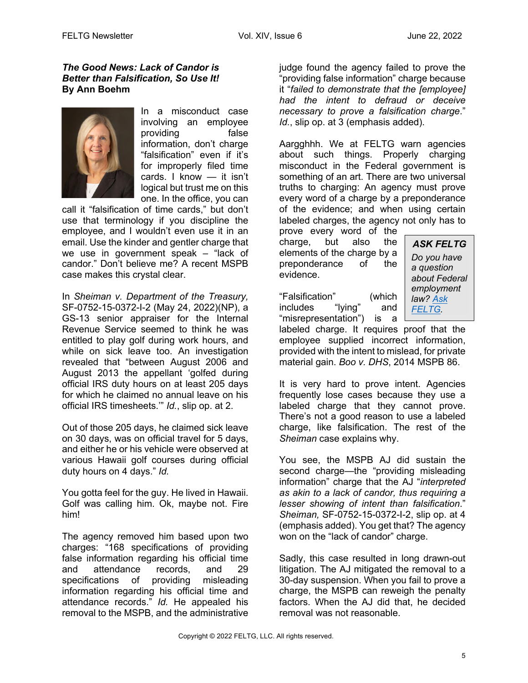#### *The Good News: Lack of Candor is Better than Falsification, So Use It!* **By Ann Boehm**



In a misconduct case involving an employee providing false information, don't charge "falsification" even if it's for improperly filed time cards. I know — it isn't logical but trust me on this one. In the office, you can

call it "falsification of time cards," but don't use that terminology if you discipline the employee, and I wouldn't even use it in an email. Use the kinder and gentler charge that we use in government speak – "lack of candor." Don't believe me? A recent MSPB case makes this crystal clear.

In *Sheiman v. Department of the Treasury,*  SF-0752-15-0372-I-2 (May 24, 2022)(NP), a GS-13 senior appraiser for the Internal Revenue Service seemed to think he was entitled to play golf during work hours, and while on sick leave too. An investigation revealed that "between August 2006 and August 2013 the appellant 'golfed during official IRS duty hours on at least 205 days for which he claimed no annual leave on his official IRS timesheets.'" *Id.*, slip op. at 2.

Out of those 205 days, he claimed sick leave on 30 days, was on official travel for 5 days, and either he or his vehicle were observed at various Hawaii golf courses during official duty hours on 4 days." *Id.*

You gotta feel for the guy. He lived in Hawaii. Golf was calling him. Ok, maybe not. Fire him!

The agency removed him based upon two charges: "168 specifications of providing false information regarding his official time and attendance records, and 29 specifications of providing misleading information regarding his official time and attendance records." *Id.* He appealed his removal to the MSPB, and the administrative

judge found the agency failed to prove the "providing false information" charge because it "*failed to demonstrate that the [employee] had the intent to defraud or deceive necessary to prove a falsification charge*." *Id.*, slip op. at 3 (emphasis added).

Aargghhh. We at FELTG warn agencies about such things. Properly charging misconduct in the Federal government is something of an art. There are two universal truths to charging: An agency must prove every word of a charge by a preponderance of the evidence; and when using certain labeled charges, the agency not only has to

prove every word of the charge, but also the elements of the charge by a preponderance of the evidence.

"Falsification" (which includes "lying" and "misrepresentation") is a *ASK FELTG*

*Do you have a question about Federal employment law? Ask FELTG.* 

labeled charge. It requires proof that the employee supplied incorrect information, provided with the intent to mislead, for private material gain. *Boo v. DHS*, 2014 MSPB 86.

It is very hard to prove intent. Agencies frequently lose cases because they use a labeled charge that they cannot prove. There's not a good reason to use a labeled charge, like falsification. The rest of the *Sheiman* case explains why.

You see, the MSPB AJ did sustain the second charge—the "providing misleading information" charge that the AJ "*interpreted as akin to a lack of candor, thus requiring a lesser showing of intent than falsification*." *Sheiman,* SF-0752-15-0372-I-2, slip op. at 4 (emphasis added). You get that? The agency won on the "lack of candor" charge.

Sadly, this case resulted in long drawn-out litigation. The AJ mitigated the removal to a 30-day suspension. When you fail to prove a charge, the MSPB can reweigh the penalty factors. When the AJ did that, he decided removal was not reasonable.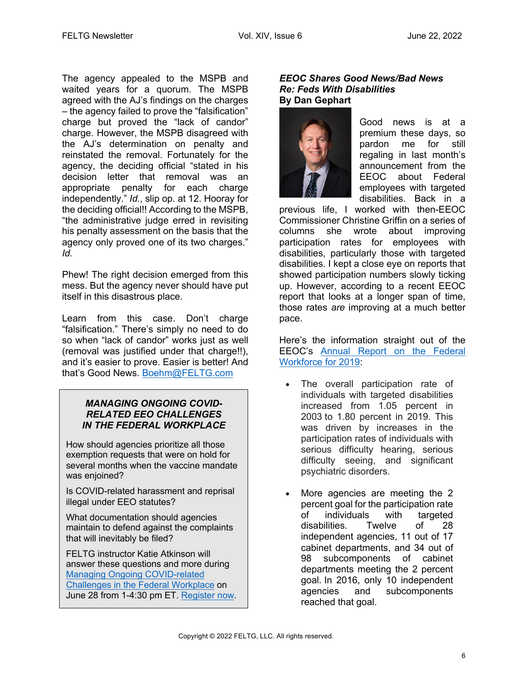The agency appealed to the MSPB and waited years for a quorum. The MSPB agreed with the AJ's findings on the charges – the agency failed to prove the "falsification" charge but proved the "lack of candor" charge. However, the MSPB disagreed with the AJ's determination on penalty and reinstated the removal. Fortunately for the agency, the deciding official "stated in his decision letter that removal was an appropriate penalty for each charge independently." *Id.*, slip op. at 12. Hooray for the deciding official!! According to the MSPB, "the administrative judge erred in revisiting his penalty assessment on the basis that the agency only proved one of its two charges." *Id.*

Phew! The right decision emerged from this mess. But the agency never should have put itself in this disastrous place.

Learn from this case. Don't charge "falsification." There's simply no need to do so when "lack of candor" works just as well (removal was justified under that charge!!), and it's easier to prove. Easier is better! And that's Good News. Boehm@FELTG.com

### *MANAGING ONGOING COVID-RELATED EEO CHALLENGES IN THE FEDERAL WORKPLACE*

How should agencies prioritize all those exemption requests that were on hold for several months when the vaccine mandate was enjoined?

Is COVID-related harassment and reprisal illegal under EEO statutes?

What documentation should agencies maintain to defend against the complaints that will inevitably be filed?

FELTG instructor Katie Atkinson will answer these questions and more during Managing Ongoing COVID-related Challenges in the Federal Workplace on June 28 from 1-4:30 pm ET. Register now.

#### *EEOC Shares Good News/Bad News Re: Feds With Disabilities*  **By Dan Gephart**



Good news is at a premium these days, so pardon me for still regaling in last month's announcement from the EEOC about Federal employees with targeted disabilities. Back in a

previous life, I worked with then-EEOC Commissioner Christine Griffin on a series of columns she wrote about improving participation rates for employees with disabilities, particularly those with targeted disabilities. I kept a close eye on reports that showed participation numbers slowly ticking up. However, according to a recent EEOC report that looks at a longer span of time, those rates *are* improving at a much better pace.

Here's the information straight out of the EEOC's Annual Report on the Federal Workforce for 2019:

- The overall participation rate of individuals with targeted disabilities increased from 1.05 percent in 2003 to 1.80 percent in 2019. This was driven by increases in the participation rates of individuals with serious difficulty hearing, serious difficulty seeing, and significant psychiatric disorders.
- More agencies are meeting the 2 percent goal for the participation rate of individuals with targeted disabilities. Twelve of 28 independent agencies, 11 out of 17 cabinet departments, and 34 out of 98 subcomponents of cabinet departments meeting the 2 percent goal. In 2016, only 10 independent agencies and subcomponents reached that goal.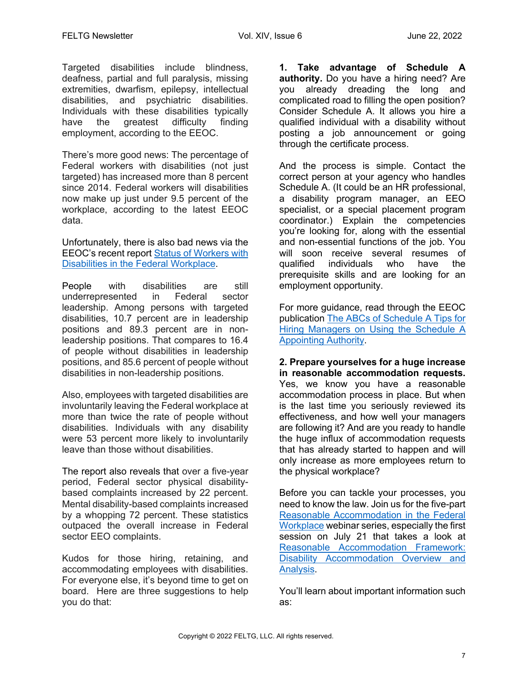Targeted disabilities include blindness, deafness, partial and full paralysis, missing extremities, dwarfism, epilepsy, intellectual disabilities, and psychiatric disabilities. Individuals with these disabilities typically have the greatest difficulty finding employment, according to the EEOC.

There's more good news: The percentage of Federal workers with disabilities (not just targeted) has increased more than 8 percent since 2014. Federal workers will disabilities now make up just under 9.5 percent of the workplace, according to the latest EEOC data.

Unfortunately, there is also bad news via the EEOC's recent report Status of Workers with Disabilities in the Federal Workplace.

People with disabilities are still underrepresented in Federal sector leadership. Among persons with targeted disabilities, 10.7 percent are in leadership positions and 89.3 percent are in nonleadership positions. That compares to 16.4 of people without disabilities in leadership positions, and 85.6 percent of people without disabilities in non-leadership positions.

Also, employees with targeted disabilities are involuntarily leaving the Federal workplace at more than twice the rate of people without disabilities. Individuals with any disability were 53 percent more likely to involuntarily leave than those without disabilities.

The report also reveals that over a five-year period, Federal sector physical disabilitybased complaints increased by 22 percent. Mental disability-based complaints increased by a whopping 72 percent. These statistics outpaced the overall increase in Federal sector EEO complaints.

Kudos for those hiring, retaining, and accommodating employees with disabilities. For everyone else, it's beyond time to get on board. Here are three suggestions to help you do that:

**1. Take advantage of Schedule A authority.** Do you have a hiring need? Are you already dreading the long and complicated road to filling the open position? Consider Schedule A. It allows you hire a qualified individual with a disability without posting a job announcement or going through the certificate process.

And the process is simple. Contact the correct person at your agency who handles Schedule A. (It could be an HR professional, a disability program manager, an EEO specialist, or a special placement program coordinator.) Explain the competencies you're looking for, along with the essential and non-essential functions of the job. You will soon receive several resumes of qualified individuals who have the prerequisite skills and are looking for an employment opportunity.

For more guidance, read through the EEOC publication The ABCs of Schedule A Tips for Hiring Managers on Using the Schedule A Appointing Authority.

**2. Prepare yourselves for a huge increase in reasonable accommodation requests.**  Yes, we know you have a reasonable accommodation process in place. But when is the last time you seriously reviewed its effectiveness, and how well your managers are following it? And are you ready to handle the huge influx of accommodation requests that has already started to happen and will only increase as more employees return to the physical workplace?

Before you can tackle your processes, you need to know the law. Join us for the five-part Reasonable Accommodation in the Federal Workplace webinar series, especially the first session on July 21 that takes a look at Reasonable Accommodation Framework: Disability Accommodation Overview and Analysis.

You'll learn about important information such as: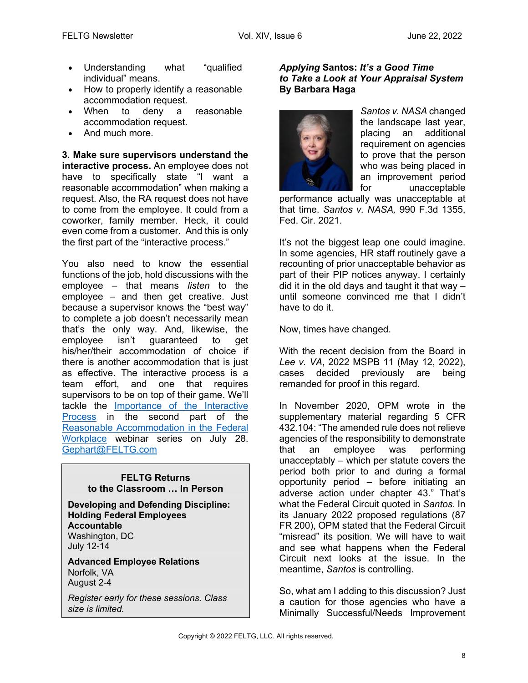- Understanding what "qualified individual" means.
- How to properly identify a reasonable accommodation request.
- When to deny a reasonable accommodation request.
- And much more.

**3. Make sure supervisors understand the interactive process.** An employee does not have to specifically state "I want a reasonable accommodation" when making a request. Also, the RA request does not have to come from the employee. It could from a coworker, family member. Heck, it could even come from a customer. And this is only the first part of the "interactive process."

You also need to know the essential functions of the job, hold discussions with the employee – that means *listen* to the employee – and then get creative. Just because a supervisor knows the "best way" to complete a job doesn't necessarily mean that's the only way. And, likewise, the employee isn't guaranteed to get his/her/their accommodation of choice if there is another accommodation that is just as effective. The interactive process is a team effort, and one that requires supervisors to be on top of their game. We'll tackle the Importance of the Interactive Process in the second part of the Reasonable Accommodation in the Federal Workplace webinar series on July 28. Gephart@FELTG.com

#### **FELTG Returns to the Classroom … In Person**

**Developing and Defending Discipline: Holding Federal Employees Accountable** Washington, DC July 12-14

**Advanced Employee Relations** Norfolk, VA August 2-4

*Register early for these sessions. Class size is limited.*

#### *Applying* **Santos:** *It's a Good Time to Take a Look at Your Appraisal System* **By Barbara Haga**



*Santos v. NASA* changed the landscape last year, placing an additional requirement on agencies to prove that the person who was being placed in an improvement period for unacceptable

performance actually was unacceptable at that time. *Santos v. NASA,* 990 F.3d 1355, Fed. Cir. 2021.

It's not the biggest leap one could imagine. In some agencies, HR staff routinely gave a recounting of prior unacceptable behavior as part of their PIP notices anyway. I certainly did it in the old days and taught it that way – until someone convinced me that I didn't have to do it.

Now, times have changed.

With the recent decision from the Board in *Lee v. VA*, 2022 MSPB 11 (May 12, 2022), cases decided previously are being remanded for proof in this regard.

In November 2020, OPM wrote in the supplementary material regarding 5 CFR 432.104: "The amended rule does not relieve agencies of the responsibility to demonstrate that an employee was performing unacceptably – which per statute covers the period both prior to and during a formal opportunity period – before initiating an adverse action under chapter 43." That's what the Federal Circuit quoted in *Santos*. In its January 2022 proposed regulations (87 FR 200), OPM stated that the Federal Circuit "misread" its position. We will have to wait and see what happens when the Federal Circuit next looks at the issue. In the meantime, *Santos* is controlling.

So, what am I adding to this discussion? Just a caution for those agencies who have a Minimally Successful/Needs Improvement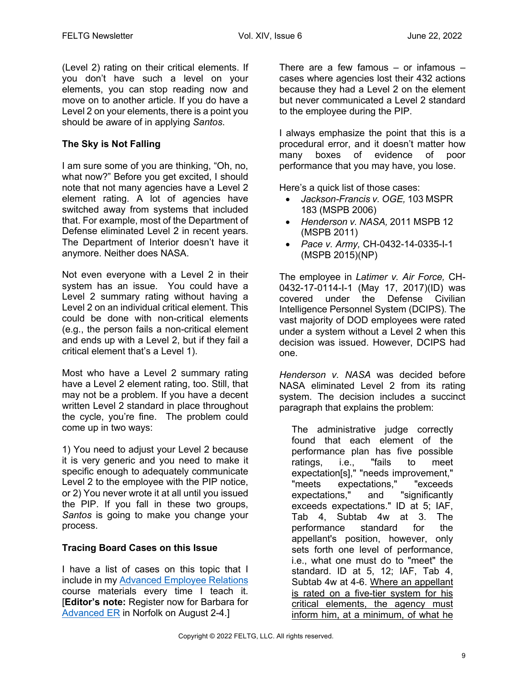(Level 2) rating on their critical elements. If you don't have such a level on your elements, you can stop reading now and move on to another article. If you do have a Level 2 on your elements, there is a point you should be aware of in applying *Santos*.

## **The Sky is Not Falling**

I am sure some of you are thinking, "Oh, no, what now?" Before you get excited, I should note that not many agencies have a Level 2 element rating. A lot of agencies have switched away from systems that included that. For example, most of the Department of Defense eliminated Level 2 in recent years. The Department of Interior doesn't have it anymore. Neither does NASA.

Not even everyone with a Level 2 in their system has an issue. You could have a Level 2 summary rating without having a Level 2 on an individual critical element. This could be done with non-critical elements (e.g., the person fails a non-critical element and ends up with a Level 2, but if they fail a critical element that's a Level 1).

Most who have a Level 2 summary rating have a Level 2 element rating, too. Still, that may not be a problem. If you have a decent written Level 2 standard in place throughout the cycle, you're fine. The problem could come up in two ways:

1) You need to adjust your Level 2 because it is very generic and you need to make it specific enough to adequately communicate Level 2 to the employee with the PIP notice, or 2) You never wrote it at all until you issued the PIP. If you fall in these two groups, *Santos* is going to make you change your process.

### **Tracing Board Cases on this Issue**

I have a list of cases on this topic that I include in my Advanced Employee Relations course materials every time I teach it. [**Editor's note:** Register now for Barbara for Advanced ER in Norfolk on August 2-4.]

There are a few famous  $-$  or infamous  $$ cases where agencies lost their 432 actions because they had a Level 2 on the element but never communicated a Level 2 standard to the employee during the PIP.

I always emphasize the point that this is a procedural error, and it doesn't matter how many boxes of evidence of poor performance that you may have, you lose.

Here's a quick list of those cases:

- *Jackson-Francis v. OGE,* 103 MSPR 183 (MSPB 2006)
- *Henderson v. NASA,* 2011 MSPB 12 (MSPB 2011)
- *Pace v. Army,* CH-0432-14-0335-I-1 (MSPB 2015)(NP)

The employee in *Latimer v. Air Force,* CH-0432-17-0114-I-1 (May 17, 2017)(ID) was covered under the Defense Civilian Intelligence Personnel System (DCIPS). The vast majority of DOD employees were rated under a system without a Level 2 when this decision was issued. However, DCIPS had one.

*Henderson v. NASA* was decided before NASA eliminated Level 2 from its rating system. The decision includes a succinct paragraph that explains the problem:

The administrative judge correctly found that each element of the performance plan has five possible ratings, i.e., "fails to meet expectation[s]," "needs improvement," "meets expectations," "exceeds expectations," and "significantly exceeds expectations." ID at 5; IAF, Tab 4, Subtab 4w at 3. The performance standard for the appellant's position, however, only sets forth one level of performance, i.e., what one must do to "meet" the standard. ID at 5, 12; IAF, Tab 4, Subtab 4w at 4-6. Where an appellant is rated on a five-tier system for his critical elements, the agency must inform him, at a minimum, of what he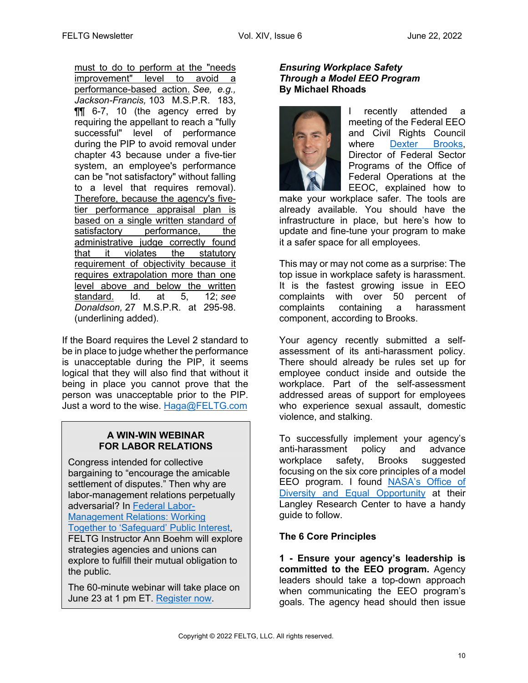must to do to perform at the "needs improvement" level to avoid a performance-based action. *See, e.g., Jackson-Francis,* 103 M.S.P.R. 183, ¶¶ 6-7, 10 (the agency erred by requiring the appellant to reach a "fully successful" level of performance during the PIP to avoid removal under chapter 43 because under a five-tier system, an employee's performance can be "not satisfactory" without falling to a level that requires removal). Therefore, because the agency's fivetier performance appraisal plan is based on a single written standard of satisfactory performance, the administrative judge correctly found that it violates the statutory requirement of objectivity because it requires extrapolation more than one level above and below the written standard. Id. at 5, 12; *see Donaldson,* 27 M.S.P.R. at 295-98. (underlining added).

If the Board requires the Level 2 standard to be in place to judge whether the performance is unacceptable during the PIP, it seems logical that they will also find that without it being in place you cannot prove that the person was unacceptable prior to the PIP. Just a word to the wise. Haga@FELTG.com

### **A WIN-WIN WEBINAR FOR LABOR RELATIONS**

Congress intended for collective bargaining to "encourage the amicable settlement of disputes." Then why are labor-management relations perpetually adversarial? In Federal Labor-Management Relations: Working Together to 'Safeguard' Public Interest, FELTG Instructor Ann Boehm will explore strategies agencies and unions can explore to fulfill their mutual obligation to the public.

The 60-minute webinar will take place on June 23 at 1 pm ET. Register now.

#### *Ensuring Workplace Safety Through a Model EEO Program* **By Michael Rhoads**



recently attended a meeting of the Federal EEO and Civil Rights Council where Dexter Brooks, Director of Federal Sector Programs of the Office of Federal Operations at the EEOC, explained how to

make your workplace safer. The tools are already available. You should have the infrastructure in place, but here's how to update and fine-tune your program to make it a safer space for all employees.

This may or may not come as a surprise: The top issue in workplace safety is harassment. It is the fastest growing issue in EEO complaints with over 50 percent of complaints containing a harassment component, according to Brooks.

Your agency recently submitted a selfassessment of its anti-harassment policy. There should already be rules set up for employee conduct inside and outside the workplace. Part of the self-assessment addressed areas of support for employees who experience sexual assault, domestic violence, and stalking.

To successfully implement your agency's anti-harassment policy and advance workplace safety, Brooks suggested focusing on the six core principles of a model EEO program. I found NASA's Office of Diversity and Equal Opportunity at their Langley Research Center to have a handy guide to follow.

# **The 6 Core Principles**

**1 - Ensure your agency's leadership is committed to the EEO program.** Agency leaders should take a top-down approach when communicating the EEO program's goals. The agency head should then issue